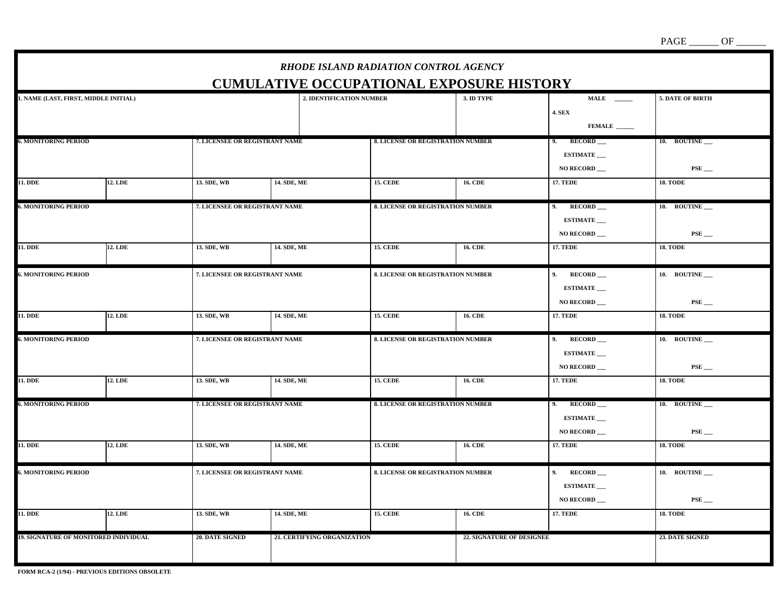*RHODE ISLAND RADIATION CONTROL AGENCY***CUMULATIVE OCCUPATIONAL EXPOSURE HISTORY1. NAME (LAST, FIRST, MIDDLE INITIAL) 2. IDENTIFICATION NUMBER** 3. ID TYPE MALE MALE S. DATE OF BIRTH **4. SEX FEMALE \_\_\_\_\_\_ 6. MONITORING PERIOD 7. LICENSEE OR REGISTRANT NAME 8. LICENSE OR REGISTRATION NUMBER 9. RECORD \_\_\_ 10. ROUTINE \_\_\_ ESTIMATE NO RECORD \_\_\_ PSE \_\_\_**  11. DDE 17. TEDE 12. LDE 18. TODE 18. TODE 18. TODE 18. TODE **6. MONITORING PERIOD 8. CLUMBER 4. POST AND A SET AND REGISTRANT NAME 8. LICENSE OR REGISTRATION NUMBER 4. POST AND RECORD ESTIMATE**  $\vert$  NO RECORD  $\vert$  **NO RECORD**  $\vert$  **PSE** 11. DDE 12. LDE 13. SDE, WB 14. SDE, ME 15. CEDE 16. CDE 17. TEDE 17. TEDE 18. TODE **6. MONITORING PERIOD 1. LICENSEE OR REGISTRANT NAME 8. LICENSE OR REGISTRATION NUMBER** 9. RECORD 10. ROUTINE **ESTIMATE 1** NO RECORD **RECORD RECORD RSE** 11. DDE 12. LDE 13. SDE, WB 14. SDE, ME 15. CEDE 16. CDE 17. TEDE 17. TEDE 18. TODE **6. MONITORING PERIOD 7. LICENSEE OR REGISTRANT NAME 8. LICENSE OR REGISTRATION NUMBER 9. RECORD 10. ROUTINE 2. ESTIMATE \_\_\_ NO RECORD \_\_\_ PSE \_\_\_**  11. DDE 12. LDE 13. SDE, WB 14. SDE, ME 15. CEDE 16. CDE 17. TEDE 17. TEDE 18. TODE **6. MONITORING PERIOD 8. INCREDIT RANCE 8. LICENSE OR REGISTRANT NAME 8. LICENSE OR REGISTRATION NUMBER** 9. RECORD 10. ROUTINE 10.  **ESTIMATE \_\_\_ 1** NO RECORD **RECORD RECORD RSE** 11. DDE 12. LDE 13. SDE, WB 14. SDE, ME 15. CEDE 16. CDE 17. TEDE 17. TEDE 18. TODE **6. MONITORING PERIOD 1. ICENSEE OR REGISTRANT NAME 8. LICENSE OR REGISTRATION NUMBER** 9. RECORD 10. ROUTINE  **ESTIMATE \_\_\_ 1** NO RECORD **RECORD RECORD RSE** 11. DDE 12. LDE 13. SDE, WB 14. SDE, ME 15. CEDE 16. CDE 17. TEDE 17. TEDE 18. TODE 19. SIGNATURE OF MONITORED INDIVIDUAL 20. DATE SIGNED 21. CERTIFYING ORGANIZATION 22. SIGNATURE OF DESIGNEE 23. DATE SIGNED 23. DATE SIGNED

 $PAGE$   $\_\_\_\$ {OF}